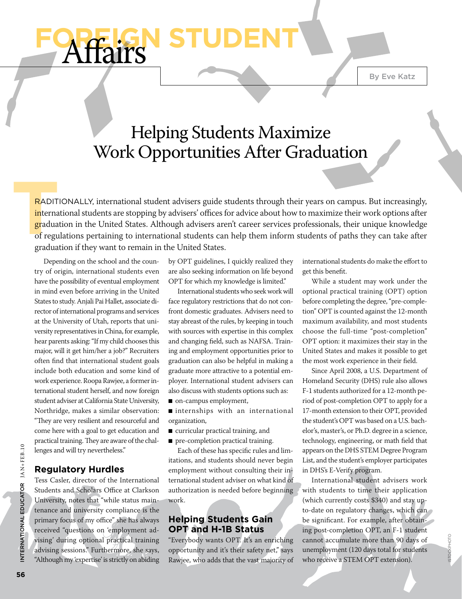# Helping Students Maximize Work Opportunities After Graduation

**T** RADITIONALLY, international student advisers guide students through their years on campus. But increasingly, international students are stopping by advisers' offices for advice about how to maximize their work options after graduation in the United States. Although advisers aren't career services professionals, their unique knowledge of regulations pertaining to international students can help them inform students of paths they can take after graduation if they want to remain in the United States.

Depending on the school and the country of origin, international students even have the possibility of eventual employment in mind even before arriving in the United States to study. Anjali Pai Hallet, associate director of international programs and services at the University of Utah, reports that university representatives in China, for example, hear parents asking: "If my child chooses this major, will it get him/her a job?" Recruiters often find that international student goals include both education and some kind of work experience. Roopa Rawjee, a former international student herself, and now foreign student adviser at California State University, Northridge, makes a similar observation: "They are very resilient and resourceful and come here with a goal to get education and practical training. They are aware of the challenges and will try nevertheless."

**Affairs** 

### **Regulatory Hurdles**

Tess Casler, director of the International Students and Scholars Office at Clarkson University, notes that "while status maintenance and university compliance is the primary focus of my office" she has always received "questions on 'employment advising' during optional practical training advising sessions." Furthermore, she says, "Although my 'expertise' is strictly on abiding by OPT guidelines, I quickly realized they are also seeking information on life beyond OPT for which my knowledge is limited."

International students who seek work will face regulatory restrictions that do not confront domestic graduates. Advisers need to stay abreast of the rules, by keeping in touch with sources with expertise in this complex and changing field, such as NAFSA. Training and employment opportunities prior to graduation can also be helpful in making a graduate more attractive to a potential employer. International student advisers can also discuss with students options such as:

■ on-campus employment,

■ internships with an international organization,

- curricular practical training, and
- pre-completion practical training.

Each of these has specific rules and limitations, and students should never begin employment without consulting their international student adviser on what kind of authorization is needed before beginning work.

### **Helping Students Gain OPT and H-1B Status**

"Everybody wants OPT. It's an enriching opportunity and it's their safety net," says Rawjee, who adds that the vast majority of

international students do make the effort to get this benefit.

While a student may work under the optional practical training (OPT) option before completing the degree, "pre-completion" OPT is counted against the 12-month maximum availability, and most students choose the full-time "post-completion" OPT option: it maximizes their stay in the United States and makes it possible to get the most work experience in their field.

Since April 2008, a U.S. Department of Homeland Security (DHS) rule also allows F-1 students authorized for a 12-month period of post-completion OPT to apply for a 17-month extension to their OPT, provided the student's OPT was based on a U.S. bachelor's, master's, or Ph.D. degree in a science, technology, engineering, or math field that appears on the DHS STEM Degree Program List, and the student's employer participates in DHS's E-Verify program.

International student advisers work with students to time their application (which currently costs \$340) and stay upto-date on regulatory changes, which can be significant. For example, after obtaining post-completion OPT, an F-1 student cannot accumulate more than 90 days of unemployment (120 days total for students who receive a STEM OPT extension).

istockphoto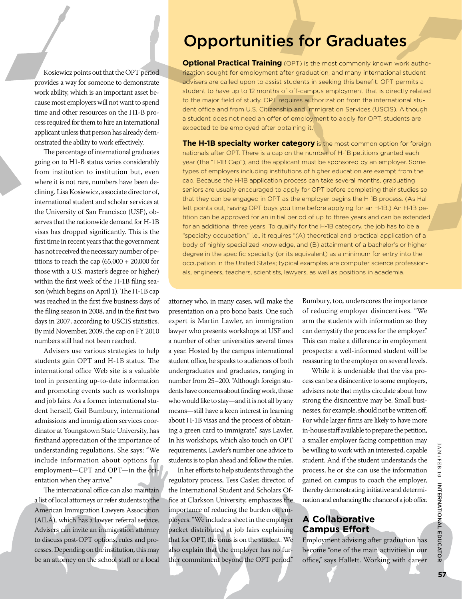Kosiewicz points out that the OPT period provides a way for someone to demonstrate work ability, which is an important asset because most employers will not want to spend time and other resources on the H1-B process required for them to hire an international applicant unless that person has already demonstrated the ability to work effectively.

The percentage of international graduates going on to H1-B status varies considerably from institution to institution but, even where it is not rare, numbers have been declining. Lisa Kosiewicz, associate director of, international student and scholar services at the University of San Francisco (USF), observes that the nationwide demand for H-1B visas has dropped significantly. This is the first time in recent years that the government has not received the necessary number of petitions to reach the cap  $(65,000 + 20,000)$  for those with a U.S. master's degree or higher) within the first week of the H-1B filing season (which begins on April 1). The H-1B cap was reached in the first five business days of the filing season in 2008, and in the first two days in 2007, according to USCIS statistics. By mid November, 2009, the cap on FY 2010 numbers still had not been reached.

Advisers use various strategies to help students gain OPT and H-1B status. The international office Web site is a valuable tool in presenting up-to-date information and promoting events such as workshops and job fairs. As a former international student herself, Gail Bumbury, international admissions and immigration services coordinator at Youngstown State University, has firsthand appreciation of the importance of understanding regulations. She says: "We include information about options for employment—CPT and OPT—in the orientation when they arrive."

The international office can also maintain a list of local attorneys or refer students to the American Immigration Lawyers Association (AILA), which has a lawyer referral service. Advisers can invite an immigration attorney to discuss post-OPT options, rules and processes. Depending on the institution, this may be an attorney on the school staff or a local

## Opportunities for Graduates

**Optional Practical Training** (OPT) is the most commonly known work authorization sought for employment after graduation, and many international student advisers are called upon to assist students in seeking this benefit. OPT permits a student to have up to 12 months of off-campus employment that is directly related to the major field of study. OPT requires authorization from the international student office and from U.S. Citizenship and Immigration Services (USCIS). Although a student does not need an offer of employment to apply for OPT, students are expected to be employed after obtaining it.

**The H-1B specialty worker category** is the most common option for foreign nationals after OPT. There is a cap on the number of H-1B petitions granted each year (the "H-1B Cap"), and the applicant must be sponsored by an employer. Some types of employers including institutions of higher education are exempt from the cap. Because the H-1B application process can take several months, graduating seniors are usually encouraged to apply for OPT before completing their studies so that they can be engaged in OPT as the employer begins the H-1B process. (As Hallett points out, having OPT buys you time before applying for an H-1B.) An H-1B petition can be approved for an initial period of up to three years and can be extended for an additional three years. To qualify for the H-1B category, the job has to be a "specialty occupation," i.e., it requires "(A) theoretical and practical application of a body of highly specialized knowledge, and (B) attainment of a bachelor's or higher degree in the specific specialty (or its equivalent) as a minimum for entry into the occupation in the United States; typical examples are computer science professionals, engineers, teachers, scientists, lawyers, as well as positions in academia.

attorney who, in many cases, will make the presentation on a pro bono basis. One such expert is Martin Lawler, an immigration lawyer who presents workshops at USF and a number of other universities several times a year. Hosted by the campus international student office, he speaks to audiences of both undergraduates and graduates, ranging in number from 25–200. "Although foreign students have concerns about finding work, those who would like to stay—and it is not all by any means—still have a keen interest in learning about H-1B visas and the process of obtaining a green card to immigrate," says Lawler. In his workshops, which also touch on OPT requirements, Lawler's number one advice to students is to plan ahead and follow the rules.

In her efforts to help students through the regulatory process, Tess Casler, director, of the International Student and Scholars Office at Clarkson University, emphasizes the importance of reducing the burden on employers. "We include a sheet in the employer packet distributed at job fairs explaining that for OPT, the onus is on the student. We also explain that the employer has no further commitment beyond the OPT period."

Bumbury, too, underscores the importance of reducing employer disincentives. "We arm the students with information so they can demystify the process for the employer." This can make a difference in employment prospects: a well-informed student will be reassuring to the employer on several levels.

While it is undeniable that the visa process can be a disincentive to some employers, advisers note that myths circulate about how strong the disincentive may be. Small businesses, for example, should not be written off. For while larger firms are likely to have more in-house staff available to prepare the petition, a smaller employer facing competition may be willing to work with an interested, capable student. And if the student understands the process, he or she can use the information gained on campus to coach the employer, thereby demonstrating initiative and determination and enhancing the chance of a job offer.

### **A Collaborative Campus Effort**

Employment advising after graduation has become "one of the main activities in our office," says Hallett. Working with career